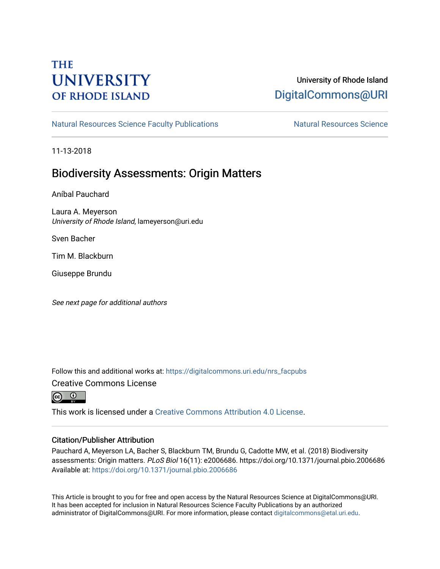# **THE UNIVERSITY OF RHODE ISLAND**

# University of Rhode Island [DigitalCommons@URI](https://digitalcommons.uri.edu/)

[Natural Resources Science Faculty Publications](https://digitalcommons.uri.edu/nrs_facpubs) Natural Resources Science

11-13-2018

# Biodiversity Assessments: Origin Matters

Aníbal Pauchard

Laura A. Meyerson University of Rhode Island, lameyerson@uri.edu

Sven Bacher

Tim M. Blackburn

Giuseppe Brundu

See next page for additional authors

Follow this and additional works at: [https://digitalcommons.uri.edu/nrs\\_facpubs](https://digitalcommons.uri.edu/nrs_facpubs?utm_source=digitalcommons.uri.edu%2Fnrs_facpubs%2F97&utm_medium=PDF&utm_campaign=PDFCoverPages)  Creative Commons License



This work is licensed under a [Creative Commons Attribution 4.0 License](https://creativecommons.org/licenses/by/4.0/).

## Citation/Publisher Attribution

Pauchard A, Meyerson LA, Bacher S, Blackburn TM, Brundu G, Cadotte MW, et al. (2018) Biodiversity assessments: Origin matters. PLoS Biol 16(11): e2006686. https://doi.org/10.1371/journal.pbio.2006686 Available at:<https://doi.org/10.1371/journal.pbio.2006686>

This Article is brought to you for free and open access by the Natural Resources Science at DigitalCommons@URI. It has been accepted for inclusion in Natural Resources Science Faculty Publications by an authorized administrator of DigitalCommons@URI. For more information, please contact [digitalcommons@etal.uri.edu.](mailto:digitalcommons@etal.uri.edu)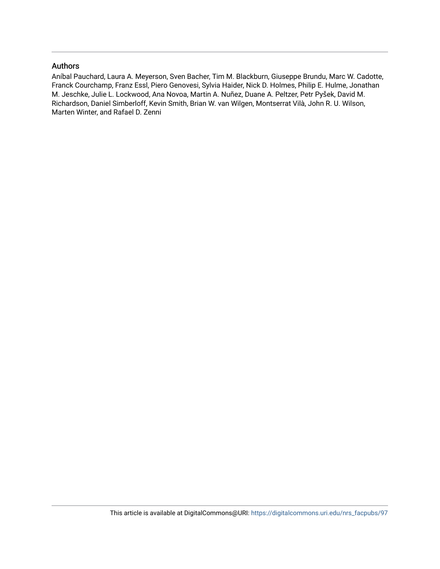### Authors

Aníbal Pauchard, Laura A. Meyerson, Sven Bacher, Tim M. Blackburn, Giuseppe Brundu, Marc W. Cadotte, Franck Courchamp, Franz Essl, Piero Genovesi, Sylvia Haider, Nick D. Holmes, Philip E. Hulme, Jonathan M. Jeschke, Julie L. Lockwood, Ana Novoa, Martin A. Nuñez, Duane A. Peltzer, Petr Pyšek, David M. Richardson, Daniel Simberloff, Kevin Smith, Brian W. van Wilgen, Montserrat Vilà, John R. U. Wilson, Marten Winter, and Rafael D. Zenni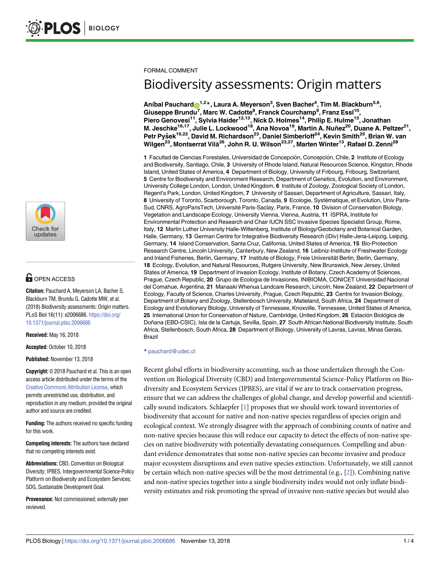

# **OPEN ACCESS**

**Citation:** Pauchard A, Meyerson LA, Bacher S, Blackburn TM, Brundu G, Cadotte MW, et al. (2018) Biodiversity assessments: Origin matters. PLoS Biol 16(11): e2006686. [https://doi.org/](https://doi.org/10.1371/journal.pbio.2006686) [10.1371/journal.pbio.2006686](https://doi.org/10.1371/journal.pbio.2006686)

**Received:** May 16, 2018

**Accepted:** October 10, 2018

**Published:** November 13, 2018

**Copyright:** © 2018 Pauchard et al. This is an open access article distributed under the terms of the Creative Commons [Attribution](http://creativecommons.org/licenses/by/4.0/) License, which permits unrestricted use, distribution, and reproduction in any medium, provided the original author and source are credited.

**Funding:** The authors received no specific funding for this work.

**Competing interests:** The authors have declared that no competing interests exist.

**Abbreviations:** CBD, Convention on Biological Diversity; IPBES, Intergovernmental Science-Policy Platform on Biodiversity and Ecosystem Services; SDG, Sustainable Development Goal.

**Provenance:** Not commissioned; externally peer reviewed.

<span id="page-2-0"></span>FORMAL COMMENT

# Biodiversity assessments: Origin matters

 $\mathsf{A}$ níbal Pauchard $\mathsf{D}^{1,2}$ \*, Laura A. Meyerson $^3$ , Sven Bacher $^4$ , Tim M. Blackburn $^{5,6},$ **Giuseppe Brundu7 , Marc W. Cadotte8 , Franck Courchamp9 , Franz Essl10, Piero Genovesi11, Sylvia Haider12,13, Nick D. Holmes14, Philip E. Hulme15, Jonathan M. Jeschke16,17, Julie L. Lockwood18, Ana Novoa19, Martin A. Nuñez20, Duane A. Peltzer21, Petr Pysˇek19,22, David M. Richardson23, Daniel Simberloff24, Kevin Smith25, Brian W. van Wilgen23, Montserrat Vilà26, John R. U. Wilson23,27, Marten Winter13, Rafael D. Zenni28**

**1** Facultad de Ciencias Forestales, Universidad de Concepción, Concepción, Chile, 2 Institute of Ecology and Biodiversity, Santiago, Chile, **3** University of Rhode Island, Natural Resources Science, Kingston, Rhode Island, United States of America, **4** Department of Biology, University of Fribourg, Fribourg, Switzerland, **5** Centre for Biodiversity and Environment Research, Department of Genetics, Evolution, and Environment, University College London, London, United Kingdom, **6** Institute of Zoology, Zoological Society of London, Regent's Park, London, United Kingdom, **7** University of Sassari, Department of Agriculture, Sassari, Italy, 8 University of Toronto, Scarborough, Toronto, Canada, 9 Ecologie, Systématique, et Evolution, Univ Paris-Sud, CNRS, AgroParisTech, Université Paris-Saclay, Paris, France, 10 Division of Conservation Biology, Vegetation and Landscape Ecology, University Vienna, Vienna, Austria, **11** ISPRA, Institute for Environmental Protection and Research and Chair IUCN SSC Invasive Species Specialist Group, Rome, Italy, **12** Martin Luther University Halle-Wittenberg, Institute of Biology/Geobotany and Botanical Garden, Halle, Germany, **13** German Centre for Integrative Biodiversity Research (iDiv) Halle-Jena-Leipzig, Leipzig, Germany, **14** Island Conservation, Santa Cruz, California, United States of America, **15** Bio-Protection Research Centre, Lincoln University, Canterbury, New Zealand, **16** Leibniz-Institute of Freshwater Ecology and Inland Fisheries, Berlin, Germany, 17 Institute of Biology, Freie Universität Berlin, Berlin, Germany, **18** Ecology, Evolution, and Natural Resources, Rutgers University, New Brunswick, New Jersey, United States of America, **19** Department of Invasion Ecology, Institute of Botany, Czech Academy of Sciences, Prague, Czech Republic, **20** Grupo de Ecologıa de Invasiones, INIBIOMA, CONICET Universidad Nacional del Comahue, Argentina, **21** Manaaki Whenua Landcare Research, Lincoln, New Zealand, **22** Department of Ecology, Faculty of Science, Charles University, Prague, Czech Republic, **23** Centre for Invasion Biology, Department of Botany and Zoology, Stellenbosch University, Matieland, South Africa, **24** Department of Ecology and Evolutionary Biology, University of Tennessee, Knoxville, Tennessee, United States of America, 25 International Union for Conservation of Nature, Cambridge, United Kingdom, 26 Estación Biológica de Doñana (EBD-CSIC), Isla de la Cartuja, Sevilla, Spain, **27** South African National Biodiversity Institute, South Africa, Stellenbosch, South Africa, **28** Department of Biology, University of Lavras, Lavras, Minas Gerais, Brazil

#### \* pauchard@udec.cl

Recent global efforts in biodiversity accounting, such as those undertaken through the Convention on Biological Diversity (CBD) and Intergovernmental Science-Policy Platform on Biodiversity and Ecosystem Services (IPBES), are vital if we are to track conservation progress, ensure that we can address the challenges of global change, and develop powerful and scientifically sound indicators. Schlaepfer [[1](#page-4-0)] proposes that we should work toward inventories of biodiversity that account for native and non-native species regardless of species origin and ecological context. We strongly disagree with the approach of combining counts of native and non-native species because this will reduce our capacity to detect the effects of non-native species on native biodiversity with potentially devastating consequences. Compelling and abundant evidence demonstrates that some non-native species can become invasive and produce major ecosystem disruptions and even native species extinction. Unfortunately, we still cannot be certain which non-native species will be the most detrimental (e.g., [\[2\]](#page-5-0)). Combining native and non-native species together into a single biodiversity index would not only inflate biodiversity estimates and risk promoting the spread of invasive non-native species but would also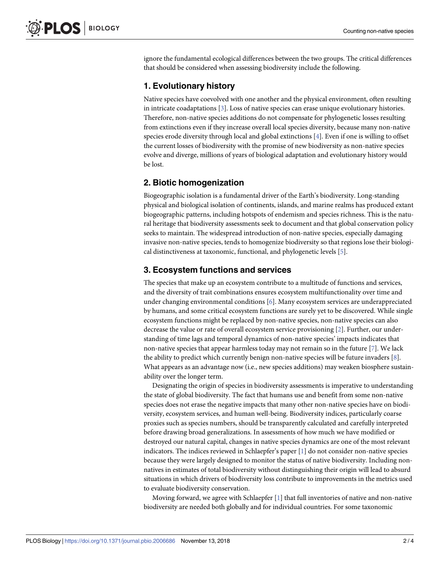<span id="page-3-0"></span>ignore the fundamental ecological differences between the two groups. The critical differences that should be considered when assessing biodiversity include the following.

## **1. Evolutionary history**

Native species have coevolved with one another and the physical environment, often resulting in intricate coadaptations [\[3\]](#page-5-0). Loss of native species can erase unique evolutionary histories. Therefore, non-native species additions do not compensate for phylogenetic losses resulting from extinctions even if they increase overall local species diversity, because many non-native species erode diversity through local and global extinctions [[4](#page-5-0)]. Even if one is willing to offset the current losses of biodiversity with the promise of new biodiversity as non-native species evolve and diverge, millions of years of biological adaptation and evolutionary history would be lost.

# **2. Biotic homogenization**

Biogeographic isolation is a fundamental driver of the Earth's biodiversity. Long-standing physical and biological isolation of continents, islands, and marine realms has produced extant biogeographic patterns, including hotspots of endemism and species richness. This is the natural heritage that biodiversity assessments seek to document and that global conservation policy seeks to maintain. The widespread introduction of non-native species, especially damaging invasive non-native species, tends to homogenize biodiversity so that regions lose their biological distinctiveness at taxonomic, functional, and phylogenetic levels [\[5](#page-5-0)].

# **3. Ecosystem functions and services**

The species that make up an ecosystem contribute to a multitude of functions and services, and the diversity of trait combinations ensures ecosystem multifunctionality over time and under changing environmental conditions [\[6](#page-5-0)]. Many ecosystem services are underappreciated by humans, and some critical ecosystem functions are surely yet to be discovered. While single ecosystem functions might be replaced by non-native species, non-native species can also decrease the value or rate of overall ecosystem service provisioning [\[2](#page-5-0)]. Further, our understanding of time lags and temporal dynamics of non-native species' impacts indicates that non-native species that appear harmless today may not remain so in the future [[7\]](#page-5-0). We lack the ability to predict which currently benign non-native species will be future invaders [[8](#page-5-0)]. What appears as an advantage now (i.e., new species additions) may weaken biosphere sustainability over the longer term.

Designating the origin of species in biodiversity assessments is imperative to understanding the state of global biodiversity. The fact that humans use and benefit from some non-native species does not erase the negative impacts that many other non-native species have on biodiversity, ecosystem services, and human well-being. Biodiversity indices, particularly coarse proxies such as species numbers, should be transparently calculated and carefully interpreted before drawing broad generalizations. In assessments of how much we have modified or destroyed our natural capital, changes in native species dynamics are one of the most relevant indicators. The indices reviewed in Schlaepfer's paper [[1](#page-4-0)] do not consider non-native species because they were largely designed to monitor the status of native biodiversity. Including nonnatives in estimates of total biodiversity without distinguishing their origin will lead to absurd situations in which drivers of biodiversity loss contribute to improvements in the metrics used to evaluate biodiversity conservation.

Moving forward, we agree with Schlaepfer [\[1](#page-4-0)] that full inventories of native and non-native biodiversity are needed both globally and for individual countries. For some taxonomic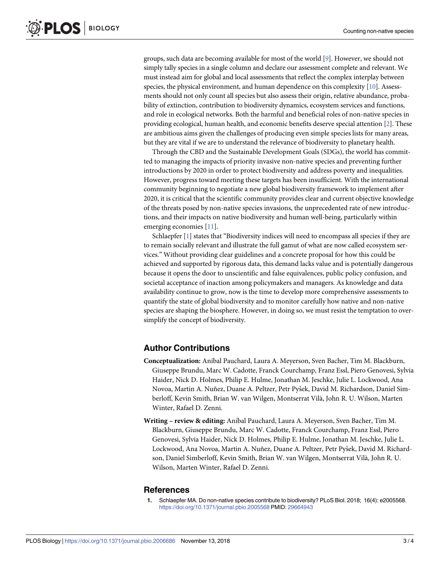<span id="page-4-0"></span>groups, such data are becoming available for most of the world [[9\]](#page-5-0). However, we should not simply tally species in a single column and declare our assessment complete and relevant. We must instead aim for global and local assessments that reflect the complex interplay between species, the physical environment, and human dependence on this complexity [\[10\]](#page-5-0). Assessments should not only count all species but also assess their origin, relative abundance, probability of extinction, contribution to biodiversity dynamics, ecosystem services and functions, and role in ecological networks. Both the harmful and beneficial roles of non-native species in providing ecological, human health, and economic benefits deserve special attention [[2](#page-5-0)]. These are ambitious aims given the challenges of producing even simple species lists for many areas, but they are vital if we are to understand the relevance of biodiversity to planetary health.

Through the CBD and the Sustainable Development Goals (SDGs), the world has committed to managing the impacts of priority invasive non-native species and preventing further introductions by 2020 in order to protect biodiversity and address poverty and inequalities. However, progress toward meeting these targets has been insufficient. With the international community beginning to negotiate a new global biodiversity framework to implement after 2020, it is critical that the scientific community provides clear and current objective knowledge of the threats posed by non-native species invasions, the unprecedented rate of new introductions, and their impacts on native biodiversity and human well-being, particularly within emerging economies [\[11\]](#page-5-0).

Schlaepfer [1] states that "Biodiversity indices will need to encompass all species if they are to remain socially relevant and illustrate the full gamut of what are now called ecosystem services." Without providing clear guidelines and a concrete proposal for how this could be achieved and supported by rigorous data, this demand lacks value and is potentially dangerous because it opens the door to unscientific and false equivalences, public policy confusion, and societal acceptance of inaction among policymakers and managers. As knowledge and data availability continue to grow, now is the time to develop more comprehensive assessments to quantify the state of global biodiversity and to monitor carefully how native and non-native species are shaping the biosphere. However, in doing so, we must resist the temptation to oversimplify the concept of biodiversity.

## **Author Contributions**

- **Conceptualization:** Anı´bal Pauchard, Laura A. Meyerson, Sven Bacher, Tim M. Blackburn, Giuseppe Brundu, Marc W. Cadotte, Franck Courchamp, Franz Essl, Piero Genovesi, Sylvia Haider, Nick D. Holmes, Philip E. Hulme, Jonathan M. Jeschke, Julie L. Lockwood, Ana Novoa, Martin A. Nuñez, Duane A. Peltzer, Petr Pyšek, David M. Richardson, Daniel Simberloff, Kevin Smith, Brian W. van Wilgen, Montserrat Vilà, John R. U. Wilson, Marten Winter, Rafael D. Zenni.
- **Writing – review & editing:** Anı´bal Pauchard, Laura A. Meyerson, Sven Bacher, Tim M. Blackburn, Giuseppe Brundu, Marc W. Cadotte, Franck Courchamp, Franz Essl, Piero Genovesi, Sylvia Haider, Nick D. Holmes, Philip E. Hulme, Jonathan M. Jeschke, Julie L. Lockwood, Ana Novoa, Martin A. Nuñez, Duane A. Peltzer, Petr Pyšek, David M. Richardson, Daniel Simberloff, Kevin Smith, Brian W. van Wilgen, Montserrat Vilà, John R. U. Wilson, Marten Winter, Rafael D. Zenni.

### **References**

**[1](#page-2-0).** Schlaepfer MA. Do non-native species contribute to biodiversity? PLoS Biol. 2018; 16(4): e2005568. <https://doi.org/10.1371/journal.pbio.2005568> PMID: [29664943](http://www.ncbi.nlm.nih.gov/pubmed/29664943)